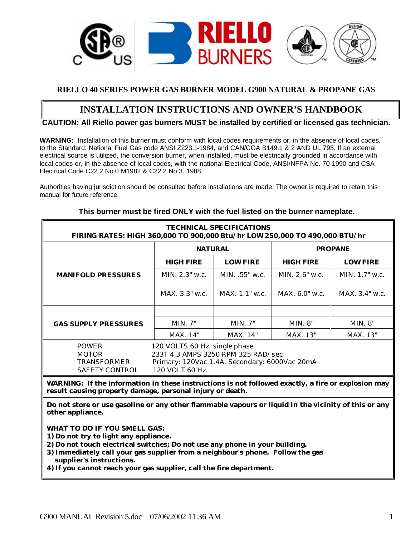

#### **RIELLO 40 SERIES POWER GAS BURNER MODEL G900 NATURAL & PROPANE GAS**

## **INSTALLATION INSTRUCTIONS AND OWNER'S HANDBOOK**

#### **CAUTION: All Riello power gas burners MUST be installed by certified or licensed gas technician.**

**WARNING:** Installation of this burner must conform with local codes requirements or, in the absence of local codes, to the Standard: National Fuel Gas code ANSI Z223.1-1984, and CAN/CGA B149.1 & 2 AND UL 795. If an external electrical source is utilized, the conversion burner, when installed, must be electrically grounded in accordance with local codes or, in the absence of local codes, with the national Electrical Code, ANSI/NFPA No. 70-1990 and CSA Electrical Code C22.2 No.0 M1982 & C22.2 No 3. 1988.

Authorities having jurisdiction should be consulted before installations are made. The owner is required to retain this manual for future reference.

| <b>TECHNICAL SPECIFICATIONS</b><br>FIRING RATES: HIGH 360,000 TO 900,000 Btu/hr LOW 250,000 TO 490,000 BTU/hr |                                                                                                                                         |                 |                  |                  |  |  |
|---------------------------------------------------------------------------------------------------------------|-----------------------------------------------------------------------------------------------------------------------------------------|-----------------|------------------|------------------|--|--|
|                                                                                                               | <b>NATURAL</b>                                                                                                                          |                 |                  | <b>PROPANE</b>   |  |  |
|                                                                                                               | <b>HIGH FIRE</b>                                                                                                                        | <b>LOW FIRE</b> | <b>HIGH FIRE</b> | <b>LOW FIRE</b>  |  |  |
| <b>MANIFOLD PRESSURES</b>                                                                                     | MIN. 2.3" w.c.                                                                                                                          | MIN. .55" w.c.  | MIN. $2.6"$ w.c. | MIN. $1.7"$ w.c. |  |  |
|                                                                                                               | MAX. 3.3" w.c.<br>MAX. 1.1" w.c.                                                                                                        |                 | $MAX. 6.0"$ w.c. | $MAX. 3.4"$ w.c. |  |  |
|                                                                                                               |                                                                                                                                         |                 |                  |                  |  |  |
| <b>GAS SUPPLY PRESSURES</b>                                                                                   | MIN. 7"                                                                                                                                 | MIN. 7"         | MIN. 8"          | MIN. 8"          |  |  |
|                                                                                                               | MAX. 14"                                                                                                                                | MAX. 14"        | MAX. 13"         | MAX. 13"         |  |  |
| <b>POWER</b><br><b>MOTOR</b><br><b>TRANSFORMER</b><br>SAFETY CONTROL                                          | 120 VOLTS 60 Hz. single phase<br>233T 4.3 AMPS 3250 RPM 325 RAD/sec<br>Primary: 120Vac 1.4A. Secondary: 6000Vac 20mA<br>120 VOLT 60 Hz. |                 |                  |                  |  |  |

#### **This burner must be fired ONLY with the fuel listed on the burner nameplate.**

**WARNING: If the information in these instructions is not followed exactly, a fire or explosion may result causing property damage, personal injury or death.**

**Do not store or use gasoline or any other flammable vapours or liquid in the vicinity of this or any other appliance.**

**WHAT TO DO IF YOU SMELL GAS:**

**1) Do not try to light any appliance.**

- **2) Do not touch electrical switches; Do not use any phone in your building.**
- **3) Immediately call your gas supplier from a neighbour's phone. Follow the gas supplier's instructions.**

**4) If you cannot reach your gas supplier, call the fire department.**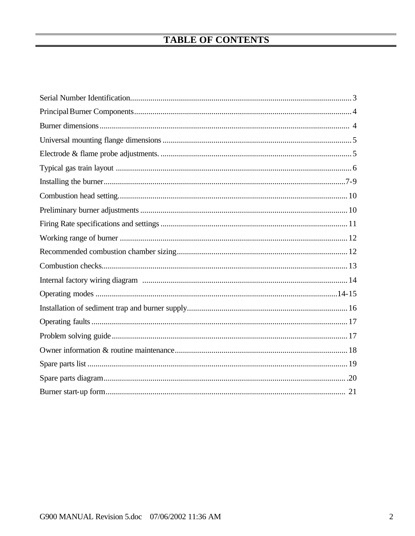# **TABLE OF CONTENTS**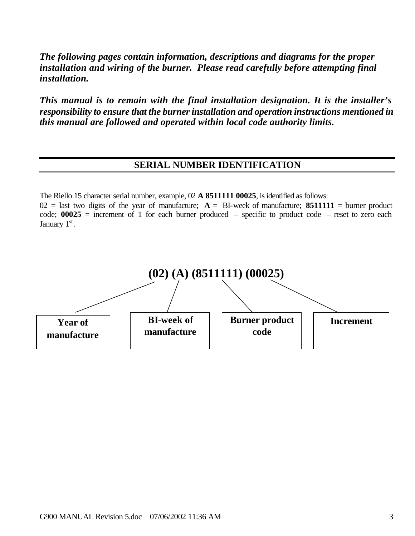*The following pages contain information, descriptions and diagrams for the proper installation and wiring of the burner. Please read carefully before attempting final installation.*

*This manual is to remain with the final installation designation. It is the installer's responsibility to ensure that the burner installation and operation instructions mentioned in this manual are followed and operated within local code authority limits.*

## **SERIAL NUMBER IDENTIFICATION**

The Riello 15 character serial number, example, 02 **A 8511111 00025**, is identified as follows:

 $02$  = last two digits of the year of manufacture;  $A = B$ I-week of manufacture; 8511111 = burner product code; **00025** = increment of 1 for each burner produced – specific to product code – reset to zero each January 1st.

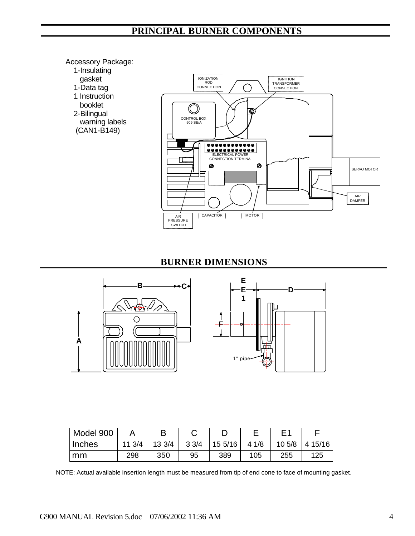## **PRINCIPAL BURNER COMPONENTS**

#### Accessory Package:

- 1-Insulating
- gasket
- 1-Data tag
- 1 Instruction
- booklet 2-Bilingual
- warning labels
- (CAN1-B149)



## **BURNER DIMENSIONS**





| Model 900 |        |        |      |        |      |        |        |
|-----------|--------|--------|------|--------|------|--------|--------|
| Inches    | 11 3/4 | 13 3/4 | 33/4 | 155/16 | 41/8 | 10 5/8 | 415/16 |
| mm        | 298    | 350    | 95   | 389    | 105  | 255    | 125    |

NOTE: Actual available insertion length must be measured from tip of end cone to face of mounting gasket.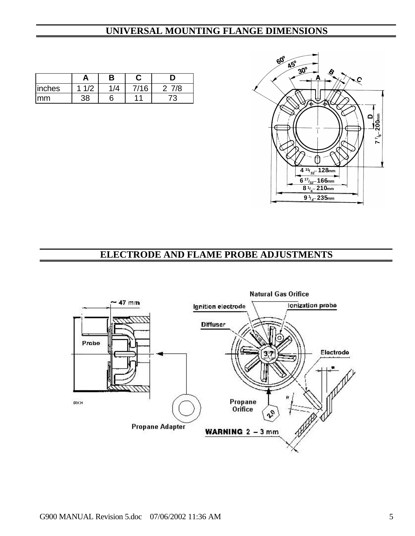## **UNIVERSAL MOUNTING FLANGE DIMENSIONS**



|        |         | В |     |    |
|--------|---------|---|-----|----|
| inches | $\cdot$ |   | 116 | 7Α |
| mm     |         |   | 44  |    |

## **ELECTRODE AND FLAME PROBE ADJUSTMENTS**

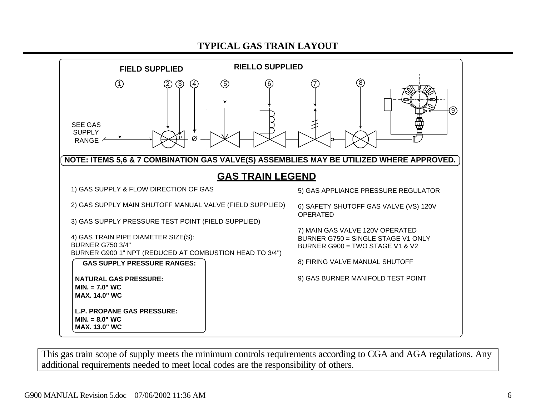



This gas train scope of supply meets the minimum controls requirements according to CGA and AGA regulations. Any additional requirements needed to meet local codes are the responsibility of others.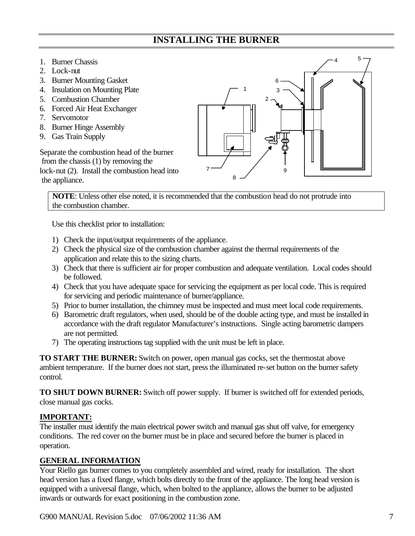## **INSTALLING THE BURNER**

- 1. Burner Chassis
- 2. Lock-nut
- 3. Burner Mounting Gasket
- 4. Insulation on Mounting Plate
- 5. Combustion Chamber
- 6. Forced Air Heat Exchanger
- 7. Servomotor
- 8. Burner Hinge Assembly
- 9. Gas Train Supply

Separate the combustion head of the burner from the chassis (1) by removing the lock-nut (2). Install the combustion head into the appliance.



**NOTE**: Unless other else noted, it is recommended that the combustion head do not protrude into the combustion chamber.

Use this checklist prior to installation:

- 1) Check the input/output requirements of the appliance.
- 2) Check the physical size of the combustion chamber against the thermal requirements of the application and relate this to the sizing charts.
- 3) Check that there is sufficient air for proper combustion and adequate ventilation. Local codes should be followed.
- 4) Check that you have adequate space for servicing the equipment as per local code. This is required for servicing and periodic maintenance of burner/appliance.
- 5) Prior to burner installation, the chimney must be inspected and must meet local code requirements.
- 6) Barometric draft regulators, when used, should be of the double acting type, and must be installed in accordance with the draft regulator Manufacturer's instructions. Single acting barometric dampers are not permitted.
- 7) The operating instructions tag supplied with the unit must be left in place.

**TO START THE BURNER:** Switch on power, open manual gas cocks, set the thermostat above ambient temperature. If the burner does not start, press the illuminated re-set button on the burner safety control.

**TO SHUT DOWN BURNER:** Switch off power supply. If burner is switched off for extended periods, close manual gas cocks.

### **IMPORTANT:**

The installer must identify the main electrical power switch and manual gas shut off valve, for emergency conditions. The red cover on the burner must be in place and secured before the burner is placed in operation.

### **GENERAL INFORMATION**

Your Riello gas burner comes to you completely assembled and wired, ready for installation. The short head version has a fixed flange, which bolts directly to the front of the appliance. The long head version is equipped with a universal flange, which, when bolted to the appliance, allows the burner to be adjusted inwards or outwards for exact positioning in the combustion zone.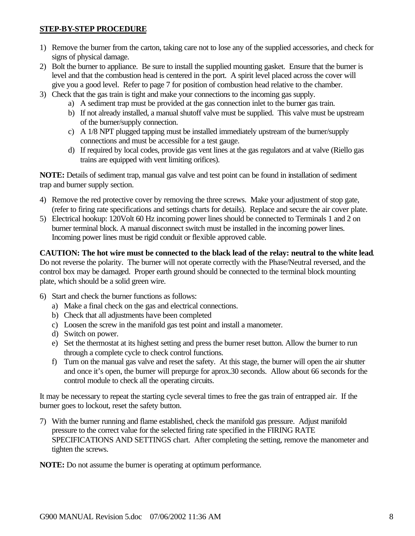#### **STEP-BY-STEP PROCEDURE**

- 1) Remove the burner from the carton, taking care not to lose any of the supplied accessories, and check for signs of physical damage.
- 2) Bolt the burner to appliance. Be sure to install the supplied mounting gasket. Ensure that the burner is level and that the combustion head is centered in the port. A spirit level placed across the cover will give you a good level. Refer to page 7 for position of combustion head relative to the chamber.
- 3) Check that the gas train is tight and make your connections to the incoming gas supply.
	- a) A sediment trap must be provided at the gas connection inlet to the burner gas train.
	- b) If not already installed, a manual shutoff valve must be supplied. This valve must be upstream of the burner/supply connection.
	- c) A 1/8 NPT plugged tapping must be installed immediately upstream of the burner/supply connections and must be accessible for a test gauge.
	- d) If required by local codes, provide gas vent lines at the gas regulators and at valve (Riello gas trains are equipped with vent limiting orifices).

**NOTE:** Details of sediment trap, manual gas valve and test point can be found in installation of sediment trap and burner supply section.

- 4) Remove the red protective cover by removing the three screws. Make your adjustment of stop gate, (refer to firing rate specifications and settings charts for details). Replace and secure the air cover plate.
- 5) Electrical hookup: 120Volt 60 Hz incoming power lines should be connected to Terminals 1 and 2 on burner terminal block. A manual disconnect switch must be installed in the incoming power lines. Incoming power lines must be rigid conduit or flexible approved cable.

**CAUTION: The hot wire must be connected to the black lead of the relay: neutral to the white lead**. Do not reverse the polarity. The burner will not operate correctly with the Phase/Neutral reversed, and the control box may be damaged. Proper earth ground should be connected to the terminal block mounting plate, which should be a solid green wire.

- 6) Start and check the burner functions as follows:
	- a) Make a final check on the gas and electrical connections.
	- b) Check that all adjustments have been completed
	- c) Loosen the screw in the manifold gas test point and install a manometer.
	- d) Switch on power.
	- e) Set the thermostat at its highest setting and press the burner reset button. Allow the burner to run through a complete cycle to check control functions.
	- f) Turn on the manual gas valve and reset the safety. At this stage, the burner will open the air shutter and once it's open, the burner will prepurge for aprox.30 seconds. Allow about 66 seconds for the control module to check all the operating circuits.

It may be necessary to repeat the starting cycle several times to free the gas train of entrapped air. If the burner goes to lockout, reset the safety button.

7) With the burner running and flame established, check the manifold gas pressure. Adjust manifold pressure to the correct value for the selected firing rate specified in the FIRING RATE SPECIFICATIONS AND SETTINGS chart. After completing the setting, remove the manometer and tighten the screws.

**NOTE:** Do not assume the burner is operating at optimum performance.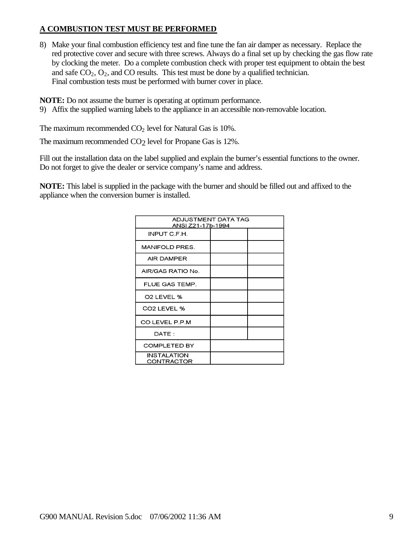#### **A COMBUSTION TEST MUST BE PERFORMED**

8) Make your final combustion efficiency test and fine tune the fan air damper as necessary. Replace the red protective cover and secure with three screws. Always do a final set up by checking the gas flow rate by clocking the meter. Do a complete combustion check with proper test equipment to obtain the best and safe  $CO<sub>2</sub>$ ,  $O<sub>2</sub>$ , and CO results. This test must be done by a qualified technician. Final combustion tests must be performed with burner cover in place.

**NOTE:** Do not assume the burner is operating at optimum performance.

9) Affix the supplied warning labels to the appliance in an accessible non-removable location.

The maximum recommended  $CO<sub>2</sub>$  level for Natural Gas is 10%.

The maximum recommended CO<sub>2</sub> level for Propane Gas is 12%.

Fill out the installation data on the label supplied and explain the burner's essential functions to the owner. Do not forget to give the dealer or service company's name and address.

**NOTE:** This label is supplied in the package with the burner and should be filled out and affixed to the appliance when the conversion burner is installed.

| ADJUSTMENT DATA TAG<br>ANSI Z21-17b-1994 |  |  |  |  |
|------------------------------------------|--|--|--|--|
| INPUT C.F.H.                             |  |  |  |  |
| <b>MANIFOLD PRES.</b>                    |  |  |  |  |
| AIR DAMPER                               |  |  |  |  |
| AIR/GAS RATIO No.                        |  |  |  |  |
| FLUE GAS TEMP.                           |  |  |  |  |
| O <sub>2</sub> LEVEL %                   |  |  |  |  |
| CO <sub>2</sub> LEVEL %                  |  |  |  |  |
| CO LEVEL P.P.M                           |  |  |  |  |
| DATE:                                    |  |  |  |  |
| <b>COMPLETED BY</b>                      |  |  |  |  |
| <b>INSTALATION</b><br>CONTRACTOR         |  |  |  |  |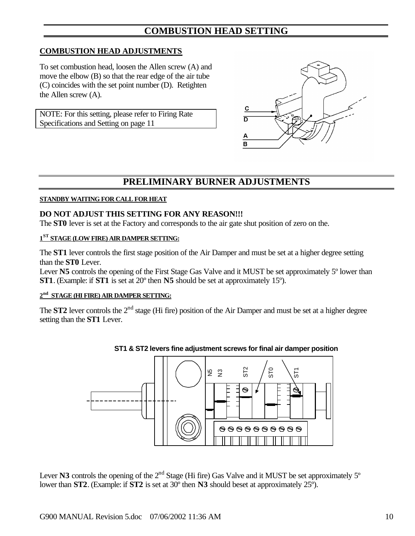## **COMBUSTION HEAD SETTING**

#### **COMBUSTION HEAD ADJUSTMENTS**

To set combustion head, loosen the Allen screw (A) and move the elbow (B) so that the rear edge of the air tube (C) coincides with the set point number (D). Retighten the Allen screw (A).

NOTE: For this setting, please refer to Firing Rate Specifications and Setting on page 11



## **PRELIMINARY BURNER ADJUSTMENTS**

#### **STANDBY WAITING FOR CALL FOR HEAT**

#### **DO NOT ADJUST THIS SETTING FOR ANY REASON!!!**

The **ST0** lever is set at the Factory and corresponds to the air gate shut position of zero on the.

#### **1 ST STAGE (LOW FIRE) AIR DAMPER SETTING:**

The **ST1** lever controls the first stage position of the Air Damper and must be set at a higher degree setting than the **ST0** Lever.

Lever N5 controls the opening of the First Stage Gas Valve and it MUST be set approximately 5<sup>°</sup> lower than **ST1**. (Example: if **ST1** is set at 20º then **N5** should be set at approximately 15º).

#### **2 nd STAGE (HI FIRE) AIR DAMPER SETTING:**

The **ST2** lever controls the 2<sup>nd</sup> stage (Hi fire) position of the Air Damper and must be set at a higher degree setting than the **ST1** Lever.



#### **ST1 & ST2 levers fine adjustment screws for final air damper position**

Lever **N3** controls the opening of the  $2<sup>nd</sup>$  Stage (Hi fire) Gas Valve and it MUST be set approximately  $5<sup>o</sup>$ lower than **ST2**. (Example: if **ST2** is set at 30º then **N3** should beset at approximately 25º).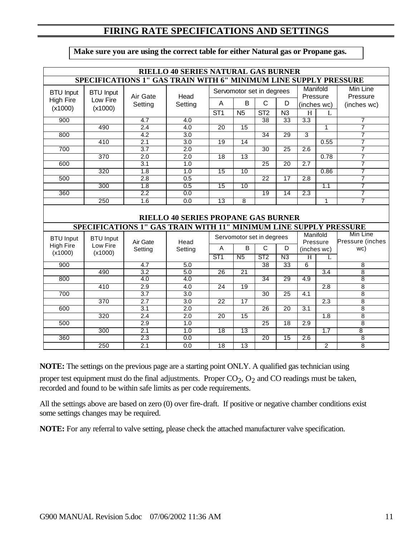## **FIRING RATE SPECIFICATIONS AND SETTINGS**

| Make sure you are using the correct table for either Natural gas or Propane gas. |  |  |  |
|----------------------------------------------------------------------------------|--|--|--|
|                                                                                  |  |  |  |

|                  | <b>RIELLO 40 SERIES NATURAL GAS BURNER</b> |                                                                   |                                            |                 |                           |                 |                 |                      |                  |                     |
|------------------|--------------------------------------------|-------------------------------------------------------------------|--------------------------------------------|-----------------|---------------------------|-----------------|-----------------|----------------------|------------------|---------------------|
|                  |                                            | SPECIFICATIONS 1" GAS TRAIN WITH 6" MINIMUM LINE SUPPLY PRESSURE  |                                            |                 |                           |                 |                 |                      |                  |                     |
| <b>BTU Input</b> | <b>BTU Input</b>                           |                                                                   | Servomotor set in degrees                  |                 |                           |                 |                 | Manifold<br>Min Line |                  |                     |
| <b>High Fire</b> | Low Fire                                   | Air Gate                                                          | Head                                       |                 |                           |                 |                 | Pressure             |                  | Pressure            |
| (x1000)          | (x1000)                                    | Setting                                                           | Setting                                    | A               | B                         | $\mathsf{C}$    | D               |                      | (inches wc)      | (inches wc)         |
|                  |                                            |                                                                   |                                            | ST <sub>1</sub> | N <sub>5</sub>            | ST <sub>2</sub> | N3              | H                    | L                |                     |
| 900              |                                            | 4.7                                                               | 4.0                                        |                 |                           | $\overline{38}$ | 33              | 3.3                  |                  | 7                   |
|                  | 490                                        | 2.4                                                               | 4.0                                        | $\overline{20}$ | 15                        |                 |                 |                      | 1                | 7                   |
| 800              |                                            | 4.2                                                               | 3.0                                        |                 |                           | $\overline{34}$ | 29              | 3                    |                  | 7                   |
|                  | 410                                        | 2.1                                                               | 3.0                                        | $\overline{19}$ | $\overline{14}$           |                 |                 |                      | 0.55             | 7                   |
| 700              |                                            | 3.7                                                               | 2.0                                        |                 |                           | $\overline{30}$ | $\overline{25}$ | $\overline{2.6}$     |                  | 7                   |
|                  | 370                                        | $\overline{2.0}$                                                  | $\overline{2.0}$                           | 18              | $\overline{13}$           |                 |                 |                      | 0.78             | 7                   |
| 600              |                                            | $\overline{3.1}$                                                  | 1.0                                        |                 |                           | $\overline{25}$ | $\overline{20}$ | $\overline{2.7}$     |                  | 7                   |
|                  | 320                                        | 1.8                                                               | 1.0                                        | $\overline{15}$ | $\overline{10}$           |                 |                 |                      | 0.86             | 7                   |
| 500              |                                            | 2.8                                                               | 0.5                                        |                 |                           | $\overline{22}$ | $\overline{17}$ | 2.8                  |                  | 7                   |
|                  | $\overline{300}$                           | 1.8                                                               | 0.5                                        | $\overline{15}$ | $\overline{10}$           |                 |                 |                      | 1.1              | 7                   |
| 360              |                                            | 2.2                                                               | 0.0                                        |                 |                           | $\overline{19}$ | $\overline{14}$ | $\overline{2.3}$     |                  | 7                   |
|                  | 250                                        | 1.6                                                               | 0.0                                        | $\overline{13}$ | $\overline{8}$            |                 |                 |                      | $\mathbf{1}$     | $\overline{7}$      |
|                  |                                            |                                                                   | <b>RIELLO 40 SERIES PROPANE GAS BURNER</b> |                 |                           |                 |                 |                      |                  |                     |
|                  |                                            | SPECIFICATIONS 1" GAS TRAIN WITH 11" MINIMUM LINE SUPPLY PRESSURE |                                            |                 |                           |                 |                 |                      |                  |                     |
| <b>BTU Input</b> | <b>BTU Input</b>                           |                                                                   |                                            |                 | Servomotor set in degrees |                 |                 |                      | Manifold         | Min Line            |
| <b>High Fire</b> | Low Fire                                   | Air Gate                                                          | Head                                       | A               | B                         | C               | D               |                      | Pressure         | Pressure (inches    |
| (x1000)          | (x1000)                                    | Setting                                                           | Setting                                    |                 |                           |                 |                 |                      | (inches wc)      | wc)                 |
|                  |                                            |                                                                   |                                            | ST1             | N <sub>5</sub>            | ST <sub>2</sub> | N3              | $\overline{H}$       | $\mathbf{L}$     |                     |
| 900              |                                            | $\overline{4.7}$                                                  | 5.0                                        |                 |                           | $\overline{38}$ | $\overline{33}$ | 6                    |                  | $\overline{8}$      |
|                  | 490                                        | 3.2                                                               | 5.0                                        | $\overline{26}$ | $\overline{21}$           |                 |                 |                      | $\overline{3.4}$ | $\overline{8}$      |
| 800              |                                            | 4.0                                                               | 4.0                                        |                 |                           | $\overline{34}$ | 29              | 4.9                  |                  | $\overline{8}$      |
|                  | 410                                        | 2.9                                                               | 4.0                                        | $\overline{24}$ | $\overline{19}$           |                 |                 |                      | $\overline{2.8}$ | 8                   |
| 700              |                                            | $\overline{3.7}$                                                  | 3.0                                        |                 |                           | $\overline{30}$ | $\overline{25}$ | 4.1                  |                  | $\overline{8}$      |
|                  | 370                                        | $\overline{2.7}$                                                  | 3.0                                        | 22              | 17                        |                 |                 |                      | 2.3              | $\overline{8}$      |
| 600              |                                            | 3.1                                                               | 2.0                                        |                 |                           | $\overline{26}$ | $\overline{20}$ | $\overline{3.1}$     |                  | $\overline{8}$      |
|                  | 320                                        | 2.4                                                               | 2.0                                        | $\overline{20}$ | $\overline{15}$           |                 |                 |                      | $\overline{1.8}$ | 8                   |
| 500              |                                            | 2.9                                                               | 1.0                                        |                 |                           | 25              | $\overline{18}$ | $\overline{2.9}$     |                  | $\overline{8}$      |
|                  |                                            |                                                                   |                                            |                 |                           |                 |                 |                      |                  |                     |
|                  | 300                                        | 2.1                                                               | 1.0                                        | 18              | 13                        |                 |                 |                      | 1.7              | 8                   |
| 360              | 250                                        | 2.3<br>2.1                                                        | 0.0<br>0.0                                 | $\overline{18}$ | $\overline{13}$           | $\overline{20}$ | $\overline{15}$ | $\overline{2.6}$     | $\overline{2}$   | 8<br>$\overline{8}$ |

**NOTE:** The settings on the previous page are a starting point ONLY. A qualified gas technician using proper test equipment must do the final adjustments. Proper  $CO<sub>2</sub>$ ,  $O<sub>2</sub>$  and CO readings must be taken, recorded and found to be within safe limits as per code requirements.

All the settings above are based on zero (0) over fire-draft. If positive or negative chamber conditions exist some settings changes may be required.

**NOTE:** For any referral to valve setting, please check the attached manufacturer valve specification.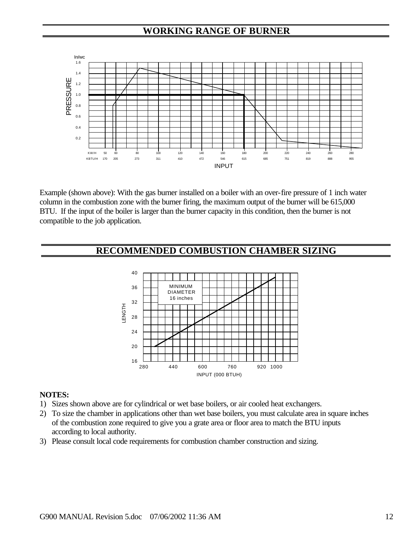## **WORKING RANGE OF BURNER**



Example (shown above): With the gas burner installed on a boiler with an over-fire pressure of 1 inch water column in the combustion zone with the burner firing, the maximum output of the burner will be 615,000 BTU. If the input of the boiler is larger than the burner capacity in this condition, then the burner is not compatible to the job application.

## **RECOMMENDED COMBUSTION CHAMBER SIZING**



#### **NOTES:**

- 1) Sizes shown above are for cylindrical or wet base boilers, or air cooled heat exchangers.
- 2) To size the chamber in applications other than wet base boilers, you must calculate area in square inches of the combustion zone required to give you a grate area or floor area to match the BTU inputs according to local authority.
- 3) Please consult local code requirements for combustion chamber construction and sizing.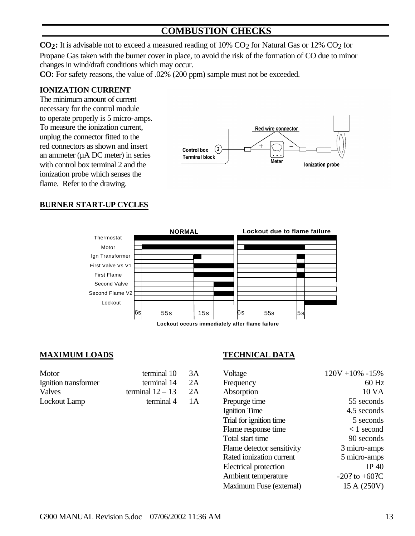## **COMBUSTION CHECKS**

**CO<sub>2</sub>**: It is advisable not to exceed a measured reading of 10% CO<sub>2</sub> for Natural Gas or 12% CO<sub>2</sub> for Propane Gas taken with the burner cover in place, to avoid the risk of the formation of CO due to minor changes in wind/draft conditions which may occur.

**CO:** For safety reasons, the value of .02% (200 ppm) sample must not be exceeded.

#### **IONIZATION CURRENT**

The minimum amount of current necessary for the control module to operate properly is 5 micro-amps. To measure the ionization current, unplug the connector fitted to the red connectors as shown and insert an ammeter  $(\mu A DC$  meter) in series with control box terminal 2 and the ionization probe which senses the flame. Refer to the drawing.



#### **BURNER START-UP CYCLES**



**Lockout occurs immediately after flame failure**

#### **MAXIMUM LOADS TECHNICAL DATA**

| Motor                | terminal 10        | 3A  |
|----------------------|--------------------|-----|
| Ignition transformer | terminal 14        | 2A  |
| Valves               | terminal $12 - 13$ | 2A  |
| Lockout Lamp         | terminal 4         | 1 A |

| Motor                | terminal 10        | 3A | Voltage                    | $120V + 10\% - 15\%$ |
|----------------------|--------------------|----|----------------------------|----------------------|
| Ignition transformer | terminal 14        | 2A | Frequency                  | 60 Hz                |
| Valves               | terminal $12 - 13$ | 2A | Absorption                 | 10 VA                |
| Lockout Lamp         | terminal 4         | 1A | Prepurge time              | 55 seconds           |
|                      |                    |    | Ignition Time              | 4.5 seconds          |
|                      |                    |    | Trial for ignition time    | 5 seconds            |
|                      |                    |    | Flame response time        | $< 1$ second         |
|                      |                    |    | Total start time           | 90 seconds           |
|                      |                    |    | Flame detector sensitivity | 3 micro-amps         |
|                      |                    |    | Rated ionization current   | 5 micro-amps         |
|                      |                    |    | Electrical protection      | IP $40$              |
|                      |                    |    | Ambient temperature        | $-20$ ? to $+60$ ?C  |
|                      |                    |    | Maximum Fuse (external)    | 15 A (250V)          |
|                      |                    |    |                            |                      |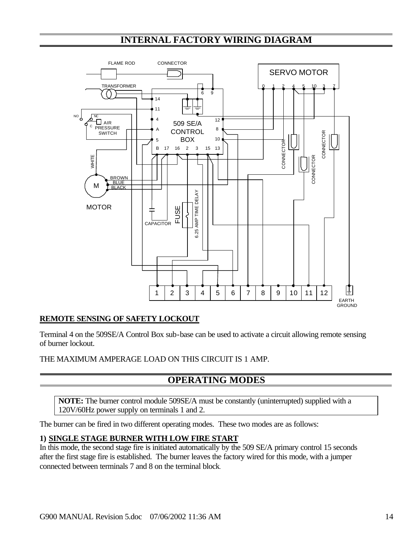## **INTERNAL FACTORY WIRING DIAGRAM**



### **REMOTE SENSING OF SAFETY LOCKOUT**

Terminal 4 on the 509SE/A Control Box sub-base can be used to activate a circuit allowing remote sensing of burner lockout.

THE MAXIMUM AMPERAGE LOAD ON THIS CIRCUIT IS 1 AMP.

## **OPERATING MODES**

**NOTE:** The burner control module 509SE/A must be constantly (uninterrupted) supplied with a 120V/60Hz power supply on terminals 1 and 2.

The burner can be fired in two different operating modes. These two modes are as follows:

#### **1) SINGLE STAGE BURNER WITH LOW FIRE START**

In this mode, the second stage fire is initiated automatically by the 509 SE/A primary control 15 seconds after the first stage fire is established. The burner leaves the factory wired for this mode, with a jumper connected between terminals 7 and 8 on the terminal block.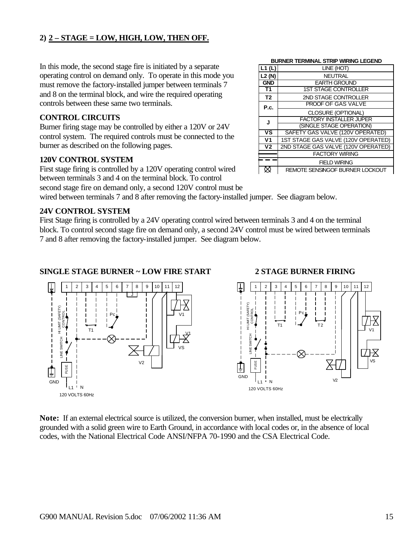## **2) 2 – STAGE = LOW, HIGH, LOW, THEN OFF.**

In this mode, the second stage fire is initiated by a separate operating control on demand only. To operate in this mode you must remove the factory-installed jumper between terminals 7 and 8 on the terminal block, and wire the required operating controls between these same two terminals.

### **CONTROL CIRCUITS**

Burner firing stage may be controlled by either a 120V or 24V control system. The required controls must be connected to the burner as described on the following pages.

#### **120V CONTROL SYSTEM**

First stage firing is controlled by a 120V operating control wired between terminals 3 and 4 on the terminal block. To control

second stage fire on demand only, a second 120V control must be

wired between terminals 7 and 8 after removing the factory-installed jumper. See diagram below.

### **24V CONTROL SYSTEM**

First Stage firing is controlled by a 24V operating control wired between terminals 3 and 4 on the terminal block. To control second stage fire on demand only, a second 24V control must be wired between terminals 7 and 8 after removing the factory-installed jumper. See diagram below.

### **SINGLE STAGE BURNER ~ LOW FIRE START 2 STAGE BURNER FIRING**





**Note:** If an external electrical source is utilized, the conversion burner, when installed, must be electrically grounded with a solid green wire to Earth Ground, in accordance with local codes or, in the absence of local codes, with the National Electrical Code ANSI/NFPA 70-1990 and the CSA Electrical Code.

#### **BURNER TERMINAL STRIP WIRING LEGEND**

|                          | BURNER TERMINAL STRIP WIRING LEGEND |
|--------------------------|-------------------------------------|
| $\overline{L1}$ (L)      | LINE (HOT)                          |
| L2 (N)                   | <b>NEUTRAL</b>                      |
| <b>GND</b>               | <b>EARTH GROUND</b>                 |
| T1                       | <b>1ST STAGE CONTROLLER</b>         |
| T <sub>2</sub>           | 2ND STAGE CONTROLLER                |
| P.c.                     | PROOF OF GAS VALVE                  |
|                          | CLOSURE (OPTIONAL)                  |
| J                        | <b>FACTORY INSTALLER JUPER</b>      |
|                          | (SINGLE STAGE OPERATION)            |
| $\overline{\mathsf{vs}}$ | SAFETY GAS VALVE (120V OPERATED)    |
| V <sub>1</sub>           | 1ST STAGE GAS VALVE (120V OPERATED) |
| $\overline{V}$           | 2ND STAGE GAS VALVE (120V OPERATED) |
|                          | <b>FACTORY WIRING</b>               |
|                          | <b>FIELD WIRING</b>                 |
|                          | REMOTE SENSINGOF BURNER LOCKOUT     |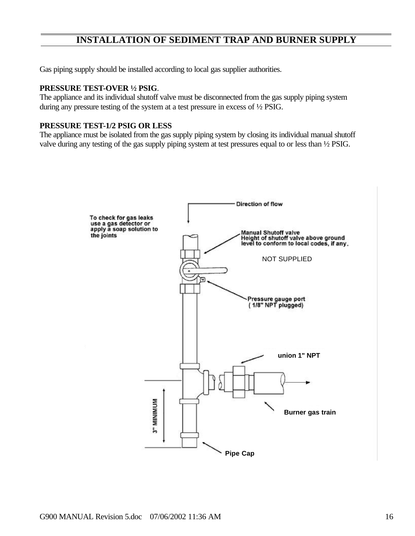## **INSTALLATION OF SEDIMENT TRAP AND BURNER SUPPLY**

Gas piping supply should be installed according to local gas supplier authorities.

#### **PRESSURE TEST-OVER ½ PSIG**.

The appliance and its individual shutoff valve must be disconnected from the gas supply piping system during any pressure testing of the system at a test pressure in excess of ½ PSIG.

#### **PRESSURE TEST-1/2 PSIG OR LESS**

The appliance must be isolated from the gas supply piping system by closing its individual manual shutoff valve during any testing of the gas supply piping system at test pressures equal to or less than ½ PSIG.

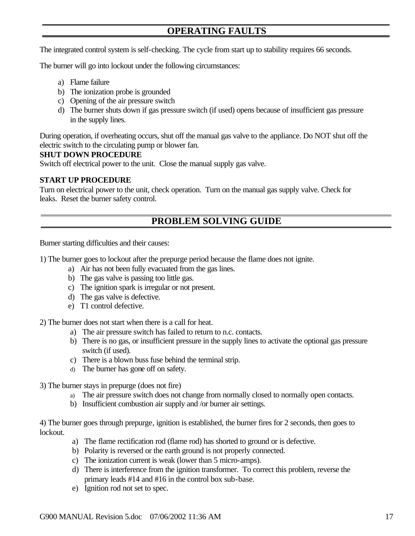## **OPERATING FAULTS**

The integrated control system is self-checking. The cycle from start up to stability requires 66 seconds.

The burner will go into lockout under the following circumstances:

- a) Flame failure
- b) The ionization probe is grounded
- c) Opening of the air pressure switch
- d) The burner shuts down if gas pressure switch (if used) opens because of insufficient gas pressure in the supply lines.

During operation, if overheating occurs, shut off the manual gas valve to the appliance. Do NOT shut off the electric switch to the circulating pump or blower fan.

#### **SHUT DOWN PROCEDURE**

Switch off electrical power to the unit. Close the manual supply gas valve.

#### **START UP PROCEDURE**

Turn on electrical power to the unit, check operation. Turn on the manual gas supply valve. Check for leaks. Reset the burner safety control.

## **PROBLEM SOLVING GUIDE**

Burner starting difficulties and their causes:

1) The burner goes to lockout after the prepurge period because the flame does not ignite.

- a) Air has not been fully evacuated from the gas lines.
- b) The gas valve is passing too little gas.
- c) The ignition spark is irregular or not present.
- d) The gas valve is defective.
- e) T1 control defective.

2) The burner does not start when there is a call for heat.

- a) The air pressure switch has failed to return to n.c. contacts.
- b) There is no gas, or insufficient pressure in the supply lines to activate the optional gas pressure switch (if used).
- c) There is a blown buss fuse behind the terminal strip.
- d) The burner has gone off on safety.

#### 3) The burner stays in prepurge (does not fire)

- a) The air pressure switch does not change from normally closed to normally open contacts.
- b) Insufficient combustion air supply and /or burner air settings.

4) The burner goes through prepurge, ignition is established, the burner fires for 2 seconds, then goes to lockout.

- a) The flame rectification rod (flame rod) has shorted to ground or is defective.
- b) Polarity is reversed or the earth ground is not properly connected.
- c) The ionization current is weak (lower than 5 micro-amps).
- d) There is interference from the ignition transformer. To correct this problem, reverse the primary leads #14 and #16 in the control box sub-base.
- e) Ignition rod not set to spec.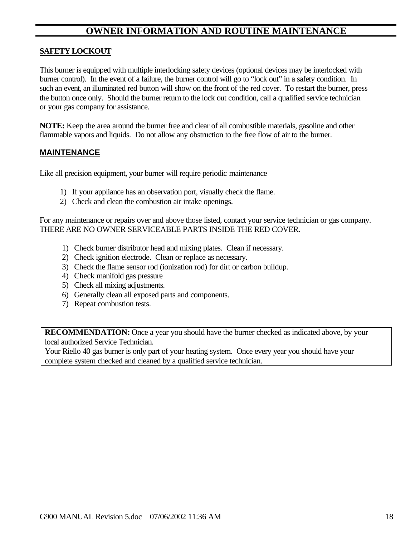## **OWNER INFORMATION AND ROUTINE MAINTENANCE**

#### **SAFETY LOCKOUT**

This burner is equipped with multiple interlocking safety devices (optional devices may be interlocked with burner control). In the event of a failure, the burner control will go to "lock out" in a safety condition. In such an event, an illuminated red button will show on the front of the red cover. To restart the burner, press the button once only. Should the burner return to the lock out condition, call a qualified service technician or your gas company for assistance.

**NOTE:** Keep the area around the burner free and clear of all combustible materials, gasoline and other flammable vapors and liquids. Do not allow any obstruction to the free flow of air to the burner.

#### **MAINTENANCE**

Like all precision equipment, your burner will require periodic maintenance

- 1) If your appliance has an observation port, visually check the flame.
- 2) Check and clean the combustion air intake openings.

For any maintenance or repairs over and above those listed, contact your service technician or gas company. THERE ARE NO OWNER SERVICEABLE PARTS INSIDE THE RED COVER.

- 1) Check burner distributor head and mixing plates. Clean if necessary.
- 2) Check ignition electrode. Clean or replace as necessary.
- 3) Check the flame sensor rod (ionization rod) for dirt or carbon buildup.
- 4) Check manifold gas pressure
- 5) Check all mixing adjustments.
- 6) Generally clean all exposed parts and components.
- 7) Repeat combustion tests.

**RECOMMENDATION:** Once a year you should have the burner checked as indicated above, by your local authorized Service Technician.

Your Riello 40 gas burner is only part of your heating system. Once every year you should have your complete system checked and cleaned by a qualified service technician.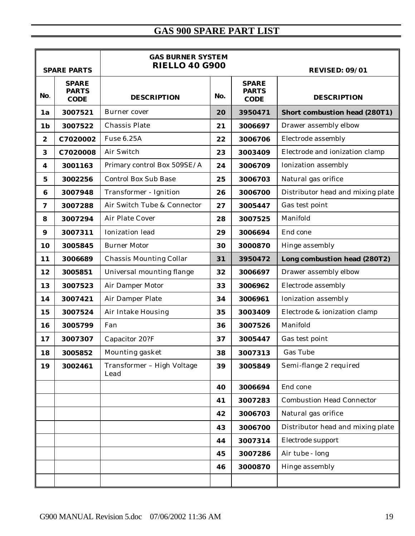# **GAS 900 SPARE PART LIST**

|                  | <b>SPARE PARTS</b>                          | <b>GAS BURNER SYSTEM</b><br><b>RIELLO 40 G900</b> | <b>REVISED: 09/01</b> |                                             |                                      |
|------------------|---------------------------------------------|---------------------------------------------------|-----------------------|---------------------------------------------|--------------------------------------|
| No.              | <b>SPARE</b><br><b>PARTS</b><br><b>CODE</b> | <b>DESCRIPTION</b>                                | No.                   | <b>SPARE</b><br><b>PARTS</b><br><b>CODE</b> | <b>DESCRIPTION</b>                   |
| 1a               | 3007521                                     | Burner cover                                      | 20                    | 3950471                                     | <b>Short combustion head (280T1)</b> |
| 1 <sub>b</sub>   | 3007522                                     | Chassis Plate                                     | 21                    | 3006697                                     | Drawer assembly elbow                |
| $\boldsymbol{2}$ | C7020002                                    | Fuse 6.25A                                        | 22                    | 3006706                                     | Electrode assembly                   |
| 3                | C7020008                                    | Air Switch                                        | 23                    | 3003409                                     | Electrode and ionization clamp       |
| 4                | 3001163                                     | Primary control Box 509SE/A                       | 24                    | 3006709                                     | Ionization assembly                  |
| $\bf{5}$         | 3002256                                     | <b>Control Box Sub Base</b>                       | 25                    | 3006703                                     | Natural gas orifice                  |
| $\bf{6}$         | 3007948                                     | Transformer - Ignition                            | 26                    | 3006700                                     | Distributor head and mixing plate    |
| $\boldsymbol{7}$ | 3007288                                     | Air Switch Tube & Connector                       | 27                    | 3005447                                     | Gas test point                       |
| 8                | 3007294                                     | Air Plate Cover                                   | 28                    | 3007525                                     | Manifold                             |
| $\boldsymbol{9}$ | 3007311                                     | Ionization lead                                   | 29                    | 3006694                                     | End cone                             |
| 10               | 3005845                                     | <b>Burner Motor</b>                               | 30                    | 3000870                                     | Hinge assembly                       |
| 11               | 3006689                                     | Chassis Mounting Collar                           | 31                    | 3950472                                     | Long combustion head (280T2)         |
| 12               | 3005851                                     | Universal mounting flange                         | 32                    | 3006697                                     | Drawer assembly elbow                |
| 13               | 3007523                                     | Air Damper Motor                                  | 33                    | 3006962                                     | Electrode assembly                   |
| 14               | 3007421                                     | Air Damper Plate                                  | 34                    | 3006961                                     | Ionization assembly                  |
| 15               | 3007524                                     | Air Intake Housing                                | 35                    | 3003409                                     | Electrode & ionization clamp         |
| 16               | 3005799                                     | Fan                                               | 36                    | 3007526                                     | Manifold                             |
| 17               | 3007307                                     | Capacitor 20?F                                    | 37                    | 3005447                                     | Gas test point                       |
| 18               | 3005852                                     | Mounting gasket                                   | 38                    | 3007313                                     | Gas Tube                             |
| 19               | 3002461                                     | Transformer - High Voltage<br>Lead                | 39                    | 3005849                                     | Semi-flange 2 required               |
|                  |                                             |                                                   | 40                    | 3006694                                     | End cone                             |
|                  |                                             |                                                   | 41                    | 3007283                                     | <b>Combustion Head Connector</b>     |
|                  |                                             |                                                   | 42                    | 3006703                                     | Natural gas orifice                  |
|                  |                                             |                                                   | 43                    | 3006700                                     | Distributor head and mixing plate    |
|                  |                                             |                                                   | 44                    | 3007314                                     | Electrode support                    |
|                  |                                             |                                                   | 45                    | 3007286                                     | Air tube - long                      |
|                  |                                             |                                                   | 46                    | 3000870                                     | Hinge assembly                       |
|                  |                                             |                                                   |                       |                                             |                                      |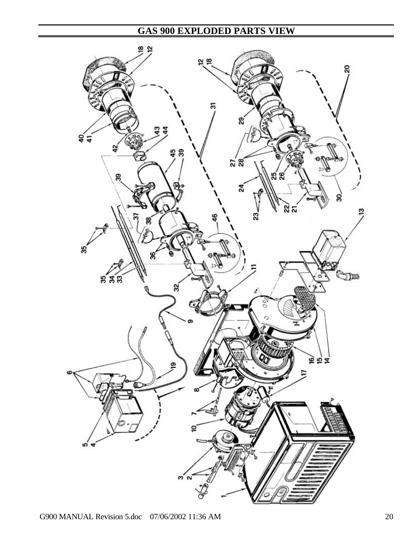# **GAS 900 EXPLODED PARTS VIEW**

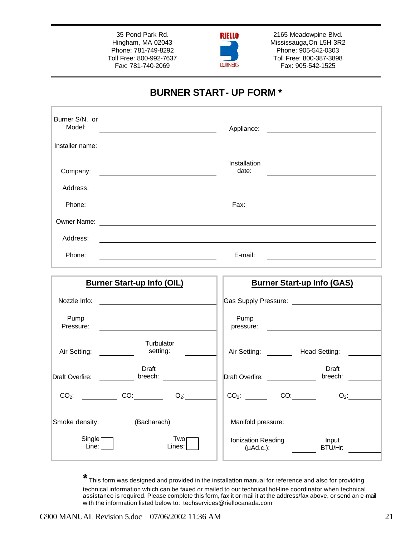35 Pond Park Rd. Hingham, MA 02043 Phone: 781-749-8292 Toll Free: 800-992-7637 Fax: 781-740-2069



2165 Meadowpine Blvd. Mississauga,On L5H 3R2 Phone: 905-542-0303 Toll Free: 800-387-3898 Fax: 905-542-1525

## **BURNER START- UP FORM \***

| Burner S/N. or<br>Model: | Appliance:<br><u> 1989 - Andrea Station Books, amerikansk politik (</u> |
|--------------------------|-------------------------------------------------------------------------|
| Installer name:          |                                                                         |
| Company:                 | Installation<br>date:                                                   |
| Address:                 |                                                                         |
| Phone:                   | Fax:                                                                    |
| Owner Name:              |                                                                         |
| Address:                 |                                                                         |
| Phone:                   | E-mail:                                                                 |

| <b>Burner Start-up Info (OIL)</b> |                                                |                |  | <b>Burner Start-up Info (GAS)</b>          |     |  |                  |  |
|-----------------------------------|------------------------------------------------|----------------|--|--------------------------------------------|-----|--|------------------|--|
| Nozzle Info:                      | <u>and the state of the state of the state</u> |                |  | Gas Supply Pressure: Case Supply Pressure: |     |  |                  |  |
| Pump<br>Pressure:                 |                                                |                |  | Pump<br>pressure:                          |     |  |                  |  |
| Air Setting:                      | Turbulator<br>setting:                         |                |  | Air Setting: _______                       |     |  | Head Setting:    |  |
| Draft Overfire:                   | Draft<br>breech:                               |                |  | Draft Overfire:                            |     |  | Draft<br>breech: |  |
| $CO2$ :                           | <b>CO:</b>                                     | $O_2$ :        |  | $CO2$ :                                    | CO: |  | $O_2$ :          |  |
| Smoke density: (Bacharach)        |                                                |                |  | Manifold pressure:                         |     |  |                  |  |
| $Single \sqcap$<br>Line:          |                                                | Twor<br>Lines: |  | Ionization Reading<br>(µAd.c.):            |     |  | Input<br>BTU/Hr: |  |

**\*** This form was designed and provided in the installation manual for reference and also for providing technical information which can be faxed or mailed to our technical hot-line coordinator when technical assistance is required. Please complete this form, fax it or mail it at the address/fax above, or send an e-mail with the information listed below to: techservices@riellocanada.com